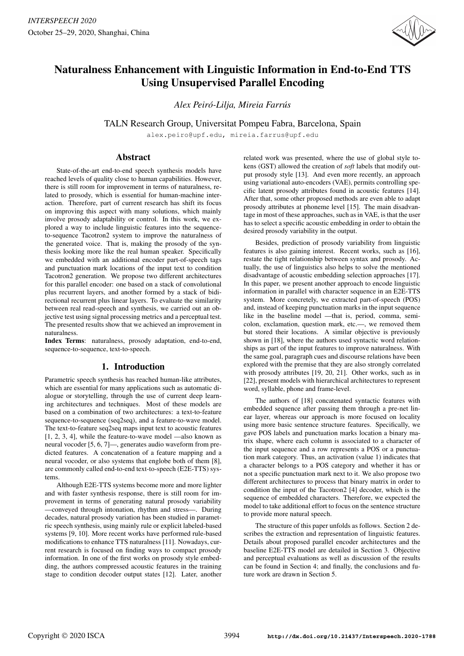

# Naturalness Enhancement with Linguistic Information in End-to-End TTS Using Unsupervised Parallel Encoding

*Alex Peiro-Lilja, Mireia Farr ´ us´*

TALN Research Group, Universitat Pompeu Fabra, Barcelona, Spain

alex.peiro@upf.edu, mireia.farrus@upf.edu

## Abstract

State-of-the-art end-to-end speech synthesis models have reached levels of quality close to human capabilities. However, there is still room for improvement in terms of naturalness, related to prosody, which is essential for human-machine interaction. Therefore, part of current research has shift its focus on improving this aspect with many solutions, which mainly involve prosody adaptability or control. In this work, we explored a way to include linguistic features into the sequenceto-sequence Tacotron2 system to improve the naturalness of the generated voice. That is, making the prosody of the synthesis looking more like the real human speaker. Specifically we embedded with an additional encoder part-of-speech tags and punctuation mark locations of the input text to condition Tacotron2 generation. We propose two different architectures for this parallel encoder: one based on a stack of convolutional plus recurrent layers, and another formed by a stack of bidirectional recurrent plus linear layers. To evaluate the similarity between real read-speech and synthesis, we carried out an objective test using signal processing metrics and a perceptual test. The presented results show that we achieved an improvement in naturalness.

Index Terms: naturalness, prosody adaptation, end-to-end, sequence-to-sequence, text-to-speech.

# 1. Introduction

Parametric speech synthesis has reached human-like attributes, which are essential for many applications such as automatic dialogue or storytelling, through the use of current deep learning architectures and techniques. Most of these models are based on a combination of two architectures: a text-to-feature sequence-to-sequence (seq2seq), and a feature-to-wave model. The text-to-feature seq2seq maps input text to acoustic features [1, 2, 3, 4], while the feature-to-wave model —also known as neural vocoder [5, 6, 7]—, generates audio waveform from predicted features. A concatenation of a feature mapping and a neural vocoder, or also systems that englobe both of them [8], are commonly called end-to-end text-to-speech (E2E-TTS) systems.

Although E2E-TTS systems become more and more lighter and with faster synthesis response, there is still room for improvement in terms of generating natural prosody variability —conveyed through intonation, rhythm and stress—. During decades, natural prosody variation has been studied in parametric speech synthesis, using mainly rule or explicit labeled-based systems [9, 10]. More recent works have performed rule-based modifications to enhance TTS naturalness [11]. Nowadays, current research is focused on finding ways to compact prosody information. In one of the first works on prosody style embedding, the authors compressed acoustic features in the training stage to condition decoder output states [12]. Later, another related work was presented, where the use of global style tokens (GST) allowed the creation of *soft* labels that modify output prosody style [13]. And even more recently, an approach using variational auto-encoders (VAE), permits controlling specific latent prosody attributes found in acoustic features [14]. After that, some other proposed methods are even able to adapt prosody attributes at phoneme level [15]. The main disadvantage in most of these approaches, such as in VAE, is that the user has to select a specific acoustic embedding in order to obtain the desired prosody variability in the output.

Besides, prediction of prosody variability from linguistic features is also gaining interest. Recent works, such as [16], restate the tight relationship between syntax and prosody. Actually, the use of linguistics also helps to solve the mentioned disadvantage of acoustic embedding selection approaches [17]. In this paper, we present another approach to encode linguistic information in parallel with character sequence in an E2E-TTS system. More concretely, we extracted part-of-speech (POS) and, instead of keeping punctuation marks in the input sequence like in the baseline model —that is, period, comma, semicolon, exclamation, question mark, etc.—, we removed them but stored their locations. A similar objective is previously shown in [18], where the authors used syntactic word relationships as part of the input features to improve naturalness. With the same goal, paragraph cues and discourse relations have been explored with the premise that they are also strongly correlated with prosody attributes [19, 20, 21]. Other works, such as in [22], present models with hierarchical architectures to represent word, syllable, phone and frame-level.

The authors of [18] concatenated syntactic features with embedded sequence after passing them through a pre-net linear layer, whereas our approach is more focused on locality using more basic sentence structure features. Specifically, we gave POS labels and punctuation marks location a binary matrix shape, where each column is associated to a character of the input sequence and a row represents a POS or a punctuation mark category. Thus, an activation (value 1) indicates that a character belongs to a POS category and whether it has or not a specific punctuation mark next to it. We also propose two different architectures to process that binary matrix in order to condition the input of the Tacotron2 [4] decoder, which is the sequence of embedded characters. Therefore, we expected the model to take additional effort to focus on the sentence structure to provide more natural speech.

The structure of this paper unfolds as follows. Section 2 describes the extraction and representation of linguistic features. Details about proposed parallel encoder architectures and the baseline E2E-TTS model are detailed in Section 3. Objective and perceptual evaluations as well as discussion of the results can be found in Section 4; and finally, the conclusions and future work are drawn in Section 5.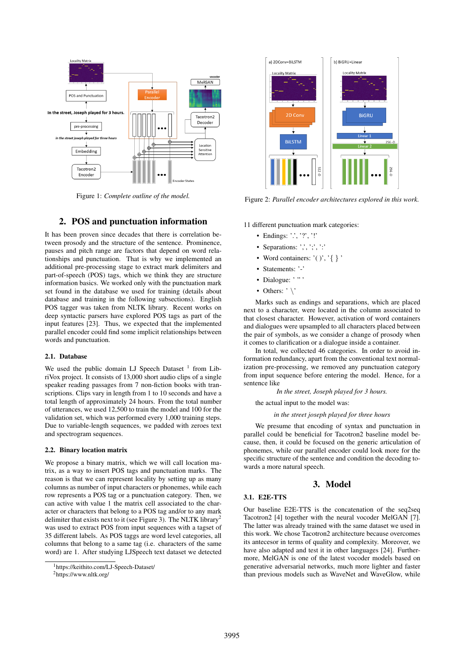

Figure 1: *Complete outline of the model.*

## 2. POS and punctuation information

It has been proven since decades that there is correlation between prosody and the structure of the sentence. Prominence, pauses and pitch range are factors that depend on word relationships and punctuation. That is why we implemented an additional pre-processing stage to extract mark delimiters and part-of-speech (POS) tags, which we think they are structure information basics. We worked only with the punctuation mark set found in the database we used for training (details about database and training in the following subsections). English POS tagger was taken from NLTK library. Recent works on deep syntactic parsers have explored POS tags as part of the input features [23]. Thus, we expected that the implemented parallel encoder could find some implicit relationships between words and punctuation.

## 2.1. Database

We used the public domain LJ Speech Dataset <sup>1</sup> from LibriVox project. It consists of 13,000 short audio clips of a single speaker reading passages from 7 non-fiction books with transcriptions. Clips vary in length from 1 to 10 seconds and have a total length of approximately 24 hours. From the total number of utterances, we used 12,500 to train the model and 100 for the validation set, which was performed every 1,000 training steps. Due to variable-length sequences, we padded with zeroes text and spectrogram sequences.

#### 2.2. Binary location matrix

We propose a binary matrix, which we will call location matrix, as a way to insert POS tags and punctuation marks. The reason is that we can represent locality by setting up as many columns as number of input characters or phonemes, while each row represents a POS tag or a punctuation category. Then, we can active with value 1 the matrix cell associated to the character or characters that belong to a POS tag and/or to any mark delimiter that exists next to it (see Figure 3). The NLTK library<sup>2</sup> was used to extract POS from input sequences with a tagset of 35 different labels. As POS taggs are word level categories, all columns that belong to a same tag (i.e. characters of the same word) are 1. After studying LJSpeech text dataset we detected

<sup>2</sup>https://www.nltk.org/



Figure 2: *Parallel encoder architectures explored in this work.*

11 different punctuation mark categories:

- Endings: '.', '?', '!'
- Separations:  $\therefore$   $\therefore$   $\therefore$
- Word containers:  $'( )', ' \}$
- Statements: '-'
- Dialogue: ' " '
- Others:  $' \backslash'$

Marks such as endings and separations, which are placed next to a character, were located in the column associated to that closest character. However, activation of word containers and dialogues were upsampled to all characters placed between the pair of symbols, as we consider a change of prosody when it comes to clarification or a dialogue inside a container.

In total, we collected 46 categories. In order to avoid information redundancy, apart from the conventional text normalization pre-processing, we removed any punctuation category from input sequence before entering the model. Hence, for a sentence like

*In the street, Joseph played for 3 hours.*

the actual input to the model was:

#### *in the street joseph played for three hours*

We presume that encoding of syntax and punctuation in parallel could be beneficial for Tacotron2 baseline model because, then, it could be focused on the generic articulation of phonemes, while our parallel encoder could look more for the specific structure of the sentence and condition the decoding towards a more natural speech.

## 3. Model

## 3.1. E2E-TTS

Our baseline E2E-TTS is the concatenation of the seq2seq Tacotron2 [4] together with the neural vocoder MelGAN [7]. The latter was already trained with the same dataset we used in this work. We chose Tacotron2 architecture because overcomes its antecesor in terms of quality and complexity. Moreover, we have also adapted and test it in other languages [24]. Furthermore, MelGAN is one of the latest vocoder models based on generative adversarial networks, much more lighter and faster than previous models such as WaveNet and WaveGlow, while

<sup>1</sup>https://keithito.com/LJ-Speech-Dataset/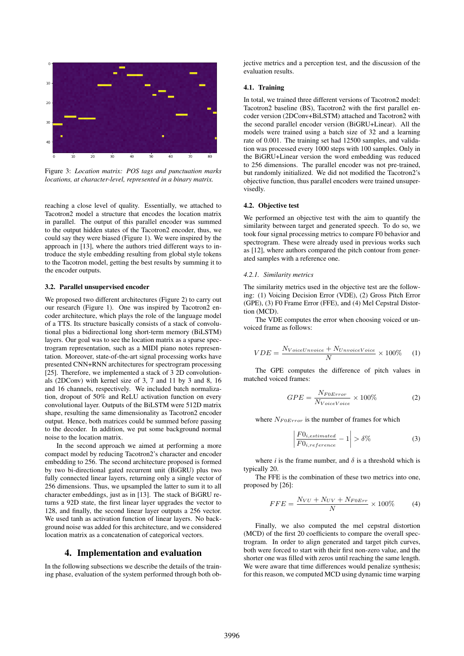

Figure 3: *Location matrix: POS tags and punctuation marks locations, at character-level, represented in a binary matrix.*

reaching a close level of quality. Essentially, we attached to Tacotron2 model a structure that encodes the location matrix in parallel. The output of this parallel encoder was summed to the output hidden states of the Tacotron2 encoder, thus, we could say they were biased (Figure 1). We were inspired by the approach in [13], where the authors tried different ways to introduce the style embedding resulting from global style tokens to the Tacotron model, getting the best results by summing it to the encoder outputs.

#### 3.2. Parallel unsupervised encoder

We proposed two different architectures (Figure 2) to carry out our research (Figure 1). One was inspired by Tacotron2 encoder architecture, which plays the role of the language model of a TTS. Its structure basically consists of a stack of convolutional plus a bidirectional long short-term memory (BiLSTM) layers. Our goal was to see the location matrix as a sparse spectrogram representation, such as a MIDI piano notes representation. Moreover, state-of-the-art signal processing works have presented CNN+RNN architectures for spectrogram processing [25]. Therefore, we implemented a stack of 3 2D convolutionals (2DConv) with kernel size of 3, 7 and 11 by 3 and 8, 16 and 16 channels, respectively. We included batch normalization, dropout of 50% and ReLU activation function on every convolutional layer. Outputs of the BiLSTM were 512D matrix shape, resulting the same dimensionality as Tacotron2 encoder output. Hence, both matrices could be summed before passing to the decoder. In addition, we put some background normal noise to the location matrix.

In the second approach we aimed at performing a more compact model by reducing Tacotron2's character and encoder embedding to 256. The second architecture proposed is formed by two bi-directional gated recurrent unit (BiGRU) plus two fully connected linear layers, returning only a single vector of 256 dimensions. Thus, we upsampled the latter to sum it to all character embeddings, just as in [13]. The stack of BiGRU returns a 92D state, the first linear layer upgrades the vector to 128, and finally, the second linear layer outputs a 256 vector. We used tanh as activation function of linear layers. No background noise was added for this architecture, and we considered location matrix as a concatenation of categorical vectors.

## 4. Implementation and evaluation

In the following subsections we describe the details of the training phase, evaluation of the system performed through both objective metrics and a perception test, and the discussion of the evaluation results.

#### 4.1. Training

In total, we trained three different versions of Tacotron2 model: Tacotron2 baseline (BS), Tacotron2 with the first parallel encoder version (2DConv+BiLSTM) attached and Tacotron2 with the second parallel encoder version (BiGRU+Linear). All the models were trained using a batch size of 32 and a learning rate of 0.001. The training set had 12500 samples, and validation was processed every 1000 steps with 100 samples. Only in the BiGRU+Linear version the word embedding was reduced to 256 dimensions. The parallel encoder was not pre-trained, but randomly initialized. We did not modified the Tacotron2's objective function, thus parallel encoders were trained unsupervisedly.

#### 4.2. Objective test

We performed an objective test with the aim to quantify the similarity between target and generated speech. To do so, we took four signal processing metrics to compare F0 behavior and spectrogram. These were already used in previous works such as [12], where authors compared the pitch contour from generated samples with a reference one.

#### *4.2.1. Similarity metrics*

The similarity metrics used in the objective test are the following: (1) Voicing Decision Error (VDE), (2) Gross Pitch Error (GPE), (3) F0 Frame Error (FFE), and (4) Mel Cepstral Distortion (MCD).

The VDE computes the error when choosing voiced or unvoiced frame as follows:

$$
VDE = \frac{N_{VoiceUnvoice} + N_{UnvoiceVoice}}{N} \times 100\% \tag{1}
$$

The GPE computes the difference of pitch values in matched voiced frames:

$$
GPE = \frac{N_{F0Error}}{N_{VoiceVoice}} \times 100\%
$$
 (2)

where  $N_{F0Error}$  is the number of frames for which

$$
\left| \frac{F0_{i,estimated}}{F0_{i,reference}} - 1 \right| > \delta\% \tag{3}
$$

where *i* is the frame number, and  $\delta$  is a threshold which is typically 20.

The FFE is the combination of these two metrics into one, proposed by [26]:

$$
FFE = \frac{N_{VU} + N_{UV} + N_{F0Err}}{N} \times 100\% \tag{4}
$$

Finally, we also computed the mel cepstral distortion (MCD) of the first 20 coefficients to compare the overall spectrogram. In order to align generated and target pitch curves, both were forced to start with their first non-zero value, and the shorter one was filled with zeros until reaching the same length. We were aware that time differences would penalize synthesis; for this reason, we computed MCD using dynamic time warping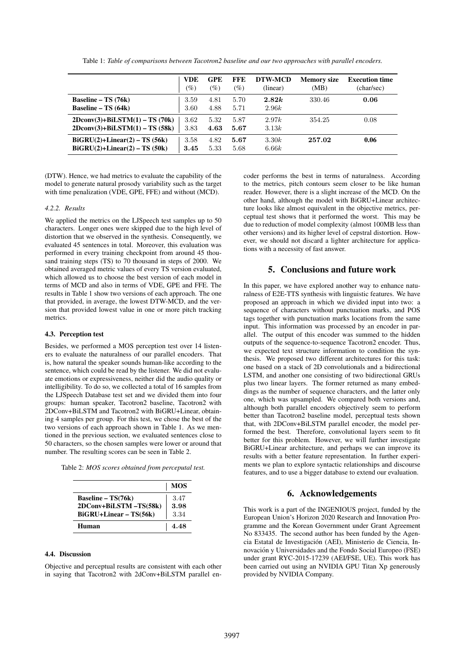|                                                                         | <b>VDE</b><br>$(\%)$ | <b>GPE</b><br>$(\%)$ | FFE<br>$(\%)$ | DTW-MCD<br>(linear) | <b>Memory size</b><br>(MB) | <b>Execution time</b><br>(char/sec) |
|-------------------------------------------------------------------------|----------------------|----------------------|---------------|---------------------|----------------------------|-------------------------------------|
| Baseline – TS $(76k)$<br>Baseline – TS $(64k)$                          | 3.59<br>3.60         | 4.81<br>4.88         | 5.70<br>5.71  | 2.82k<br>2.96k      | 330.46                     | 0.06                                |
| $2Dconv(3) + BiLSTM(1) - TS(70k)$<br>$2Dconv(3) + BiLSTM(1) - TS (58k)$ | 3.62<br>3.83         | 5.32<br>4.63         | 5.87<br>5.67  | 2.97k<br>3.13k      | 354.25                     | 0.08                                |
| $BiGRU(2)+Linear(2) - TS (56k)$<br>$BiGRU(2)+Linear(2) - TS(50k)$       | 3.58<br>3.45         | 4.82<br>5.33         | 5.67<br>5.68  | 3.30k<br>6.66k      | 257.02                     | 0.06                                |

Table 1: *Table of comparisons between Tacotron2 baseline and our two approaches with parallel encoders.*

(DTW). Hence, we had metrics to evaluate the capability of the model to generate natural prosody variability such as the target with time penalization (VDE, GPE, FFE) and without (MCD).

#### *4.2.2. Results*

We applied the metrics on the LJSpeech test samples up to 50 characters. Longer ones were skipped due to the high level of distortion that we observed in the synthesis. Consequently, we evaluated 45 sentences in total. Moreover, this evaluation was performed in every training checkpoint from around 45 thousand training steps (TS) to 70 thousand in steps of 2000. We obtained averaged metric values of every TS version evaluated, which allowed us to choose the best version of each model in terms of MCD and also in terms of VDE, GPE and FFE. The results in Table 1 show two versions of each approach. The one that provided, in average, the lowest DTW-MCD, and the version that provided lowest value in one or more pitch tracking metrics.

#### 4.3. Perception test

Besides, we performed a MOS perception test over 14 listeners to evaluate the naturalness of our parallel encoders. That is, how natural the speaker sounds human-like according to the sentence, which could be read by the listener. We did not evaluate emotions or expressiveness, neither did the audio quality or intelligibility. To do so, we collected a total of 16 samples from the LJSpeech Database test set and we divided them into four groups: human speaker, Tacotron2 baseline, Tacotron2 with 2DConv+BiLSTM and Tacotron2 with BiGRU+Linear, obtaining 4 samples per group. For this test, we chose the best of the two versions of each approach shown in Table 1. As we mentioned in the previous section, we evaluated sentences close to 50 characters, so the chosen samples were lower or around that number. The resulting scores can be seen in Table 2.

Table 2: *MOS scores obtained from perceputal test.*

|                        | <b>MOS</b> |
|------------------------|------------|
| Baseline – $TS(76k)$   | 3.47       |
| 2DConv+BiLSTM-TS(58k)  | 3.98       |
| BiGRU+Linear - TS(56k) | 3.34       |
| Human                  | 4.48       |

#### 4.4. Discussion

Objective and perceptual results are consistent with each other in saying that Tacotron2 with 2dConv+BiLSTM parallel encoder performs the best in terms of naturalness. According to the metrics, pitch contours seem closer to be like human reader. However, there is a slight increase of the MCD. On the other hand, although the model with BiGRU+Linear architecture looks like almost equivalent in the objective metrics, perceptual test shows that it performed the worst. This may be due to reduction of model complexity (almost 100MB less than other versions) and its higher level of cepstral distortion. However, we should not discard a lighter architecture for applications with a necessity of fast answer.

## 5. Conclusions and future work

In this paper, we have explored another way to enhance naturalness of E2E-TTS synthesis with linguistic features. We have proposed an approach in which we divided input into two: a sequence of characters without punctuation marks, and POS tags together with punctuation marks locations from the same input. This information was processed by an encoder in parallel. The output of this encoder was summed to the hidden outputs of the sequence-to-sequence Tacotron2 encoder. Thus, we expected text structure information to condition the synthesis. We proposed two different architectures for this task: one based on a stack of 2D convolutionals and a bidirectional LSTM, and another one consisting of two bidirectional GRUs plus two linear layers. The former returned as many embeddings as the number of sequence characters, and the latter only one, which was upsampled. We compared both versions and, although both parallel encoders objectively seem to perform better than Tacotron2 baseline model, perceptual tests shown that, with 2DConv+BiLSTM parallel encoder, the model performed the best. Therefore, convolutional layers seem to fit better for this problem. However, we will further investigate BiGRU+Linear architecture, and perhaps we can improve its results with a better feature representation. In further experiments we plan to explore syntactic relationships and discourse features, and to use a bigger database to extend our evaluation.

## 6. Acknowledgements

This work is a part of the INGENIOUS project, funded by the European Union's Horizon 2020 Research and Innovation Programme and the Korean Government under Grant Agreement No 833435. The second author has been funded by the Agencia Estatal de Investigacion (AEI), Ministerio de Ciencia, In- ´ novación y Universidades and the Fondo Social Europeo (FSE) under grant RYC-2015-17239 (AEI/FSE, UE). This work has been carried out using an NVIDIA GPU Titan Xp generously provided by NVIDIA Company.